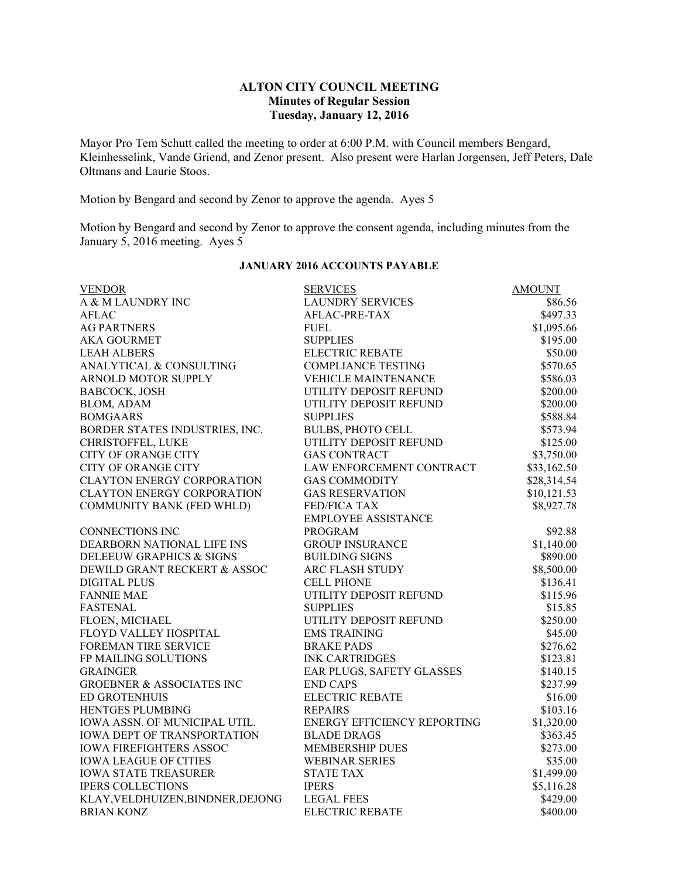#### **ALTON CITY COUNCIL MEETING Minutes of Regular Session Tuesday, January 12, 2016**

Mayor Pro Tem Schutt called the meeting to order at 6:00 P.M. with Council members Bengard, Kleinhesselink, Vande Griend, and Zenor present. Also present were Harlan Jorgensen, Jeff Peters, Dale Oltmans and Laurie Stoos.

Motion by Bengard and second by Zenor to approve the agenda. Ayes 5

Motion by Bengard and second by Zenor to approve the consent agenda, including minutes from the January 5, 2016 meeting. Ayes 5

| <b>VENDOR</b>                        | <b>SERVICES</b>             | <b>AMOUNT</b> |
|--------------------------------------|-----------------------------|---------------|
| A & M LAUNDRY INC                    | <b>LAUNDRY SERVICES</b>     | \$86.56       |
| <b>AFLAC</b>                         | AFLAC-PRE-TAX               | \$497.33      |
| <b>AG PARTNERS</b>                   | <b>FUEL</b>                 | \$1,095.66    |
| <b>AKA GOURMET</b>                   | <b>SUPPLIES</b>             | \$195.00      |
| <b>LEAH ALBERS</b>                   | <b>ELECTRIC REBATE</b>      | \$50.00       |
| ANALYTICAL & CONSULTING              | <b>COMPLIANCE TESTING</b>   | \$570.65      |
| <b>ARNOLD MOTOR SUPPLY</b>           | <b>VEHICLE MAINTENANCE</b>  | \$586.03      |
| BABCOCK, JOSH                        | UTILITY DEPOSIT REFUND      | \$200.00      |
| BLOM, ADAM                           | UTILITY DEPOSIT REFUND      | \$200.00      |
| <b>BOMGAARS</b>                      | <b>SUPPLIES</b>             | \$588.84      |
| BORDER STATES INDUSTRIES, INC.       | <b>BULBS, PHOTO CELL</b>    | \$573.94      |
| CHRISTOFFEL, LUKE                    | UTILITY DEPOSIT REFUND      | \$125.00      |
| <b>CITY OF ORANGE CITY</b>           | <b>GAS CONTRACT</b>         | \$3,750.00    |
| <b>CITY OF ORANGE CITY</b>           | LAW ENFORCEMENT CONTRACT    | \$33,162.50   |
| <b>CLAYTON ENERGY CORPORATION</b>    | <b>GAS COMMODITY</b>        | \$28,314.54   |
| <b>CLAYTON ENERGY CORPORATION</b>    | <b>GAS RESERVATION</b>      | \$10,121.53   |
| COMMUNITY BANK (FED WHLD)            | <b>FED/FICA TAX</b>         | \$8,927.78    |
|                                      | EMPLOYEE ASSISTANCE         |               |
| <b>CONNECTIONS INC</b>               | <b>PROGRAM</b>              | \$92.88       |
| DEARBORN NATIONAL LIFE INS           | <b>GROUP INSURANCE</b>      | \$1,140.00    |
| DELEEUW GRAPHICS & SIGNS             | <b>BUILDING SIGNS</b>       | \$890.00      |
| DEWILD GRANT RECKERT & ASSOC         | ARC FLASH STUDY             | \$8,500.00    |
| <b>DIGITAL PLUS</b>                  | <b>CELL PHONE</b>           | \$136.41      |
| <b>FANNIE MAE</b>                    | UTILITY DEPOSIT REFUND      | \$115.96      |
| <b>FASTENAL</b>                      | <b>SUPPLIES</b>             | \$15.85       |
| FLOEN, MICHAEL                       | UTILITY DEPOSIT REFUND      | \$250.00      |
| FLOYD VALLEY HOSPITAL                | <b>EMS TRAINING</b>         | \$45.00       |
| FOREMAN TIRE SERVICE                 | <b>BRAKE PADS</b>           | \$276.62      |
| FP MAILING SOLUTIONS                 | <b>INK CARTRIDGES</b>       | \$123.81      |
| <b>GRAINGER</b>                      | EAR PLUGS, SAFETY GLASSES   | \$140.15      |
| <b>GROEBNER &amp; ASSOCIATES INC</b> | <b>END CAPS</b>             | \$237.99      |
| <b>ED GROTENHUIS</b>                 | <b>ELECTRIC REBATE</b>      | \$16.00       |
| HENTGES PLUMBING                     | <b>REPAIRS</b>              | \$103.16      |
| IOWA ASSN. OF MUNICIPAL UTIL.        | ENERGY EFFICIENCY REPORTING | \$1,320.00    |
| <b>IOWA DEPT OF TRANSPORTATION</b>   | <b>BLADE DRAGS</b>          | \$363.45      |
| <b>IOWA FIREFIGHTERS ASSOC</b>       | MEMBERSHIP DUES             | \$273.00      |
| <b>IOWA LEAGUE OF CITIES</b>         | <b>WEBINAR SERIES</b>       | \$35.00       |
| <b>IOWA STATE TREASURER</b>          | <b>STATE TAX</b>            | \$1,499.00    |
| <b>IPERS COLLECTIONS</b>             | <b>IPERS</b>                | \$5,116.28    |
| KLAY, VELDHUIZEN, BINDNER, DEJONG    | <b>LEGAL FEES</b>           | \$429.00      |
| <b>BRIAN KONZ</b>                    | <b>ELECTRIC REBATE</b>      | \$400.00      |

#### **JANUARY 2016 ACCOUNTS PAYABLE**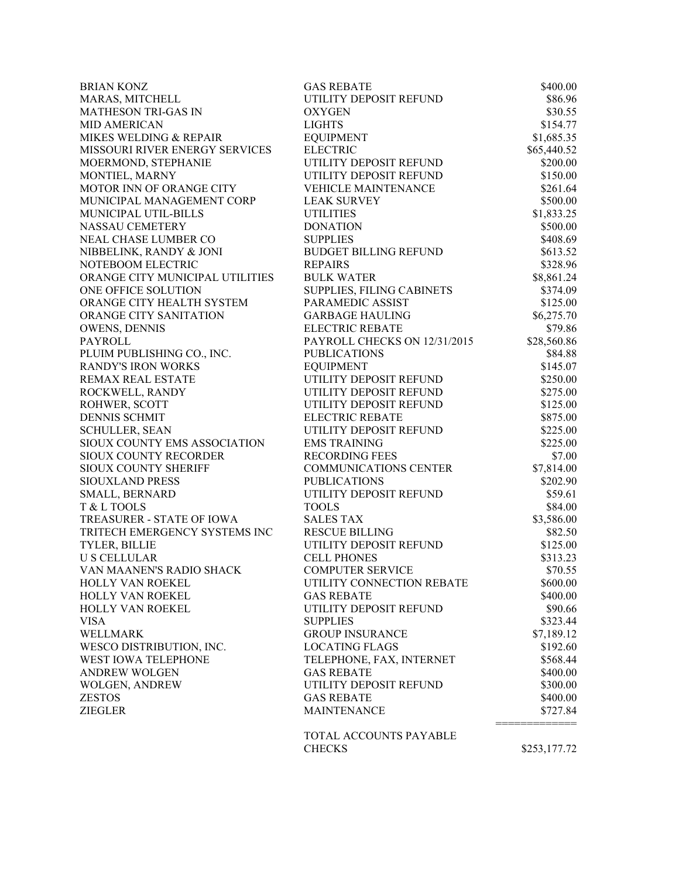| <b>BRIAN KONZ</b>               | <b>GAS REBATE</b>            | \$400.00     |
|---------------------------------|------------------------------|--------------|
| MARAS, MITCHELL                 | UTILITY DEPOSIT REFUND       | \$86.96      |
| <b>MATHESON TRI-GAS IN</b>      | <b>OXYGEN</b>                | \$30.55      |
| <b>MID AMERICAN</b>             | <b>LIGHTS</b>                | \$154.77     |
| MIKES WELDING & REPAIR          | <b>EQUIPMENT</b>             | \$1,685.35   |
| MISSOURI RIVER ENERGY SERVICES  | <b>ELECTRIC</b>              | \$65,440.52  |
| MOERMOND, STEPHANIE             | UTILITY DEPOSIT REFUND       | \$200.00     |
| MONTIEL, MARNY                  | UTILITY DEPOSIT REFUND       | \$150.00     |
| MOTOR INN OF ORANGE CITY        | VEHICLE MAINTENANCE          | \$261.64     |
| MUNICIPAL MANAGEMENT CORP       | <b>LEAK SURVEY</b>           | \$500.00     |
| MUNICIPAL UTIL-BILLS            | <b>UTILITIES</b>             | \$1,833.25   |
| NASSAU CEMETERY                 | <b>DONATION</b>              | \$500.00     |
| NEAL CHASE LUMBER CO            | <b>SUPPLIES</b>              | \$408.69     |
| NIBBELINK, RANDY & JONI         | <b>BUDGET BILLING REFUND</b> | \$613.52     |
| NOTEBOOM ELECTRIC               | <b>REPAIRS</b>               | \$328.96     |
| ORANGE CITY MUNICIPAL UTILITIES | <b>BULK WATER</b>            | \$8,861.24   |
| ONE OFFICE SOLUTION             | SUPPLIES, FILING CABINETS    | \$374.09     |
| ORANGE CITY HEALTH SYSTEM       | PARAMEDIC ASSIST             | \$125.00     |
| ORANGE CITY SANITATION          | <b>GARBAGE HAULING</b>       | \$6,275.70   |
| <b>OWENS, DENNIS</b>            | ELECTRIC REBATE              | \$79.86      |
| PAYROLL                         | PAYROLL CHECKS ON 12/31/2015 | \$28,560.86  |
| PLUIM PUBLISHING CO., INC.      | <b>PUBLICATIONS</b>          | \$84.88      |
| <b>RANDY'S IRON WORKS</b>       | <b>EQUIPMENT</b>             | \$145.07     |
| REMAX REAL ESTATE               | UTILITY DEPOSIT REFUND       | \$250.00     |
| ROCKWELL, RANDY                 | UTILITY DEPOSIT REFUND       | \$275.00     |
| ROHWER, SCOTT                   | UTILITY DEPOSIT REFUND       | \$125.00     |
| <b>DENNIS SCHMIT</b>            | <b>ELECTRIC REBATE</b>       | \$875.00     |
| <b>SCHULLER, SEAN</b>           | UTILITY DEPOSIT REFUND       | \$225.00     |
| SIOUX COUNTY EMS ASSOCIATION    | <b>EMS TRAINING</b>          | \$225.00     |
| <b>SIOUX COUNTY RECORDER</b>    | <b>RECORDING FEES</b>        | \$7.00       |
| SIOUX COUNTY SHERIFF            | <b>COMMUNICATIONS CENTER</b> | \$7,814.00   |
| SIOUXLAND PRESS                 | <b>PUBLICATIONS</b>          | \$202.90     |
| SMALL, BERNARD                  | UTILITY DEPOSIT REFUND       | \$59.61      |
| T & L TOOLS                     | <b>TOOLS</b>                 | \$84.00      |
| TREASURER - STATE OF IOWA       | <b>SALES TAX</b>             | \$3,586.00   |
| TRITECH EMERGENCY SYSTEMS INC   | <b>RESCUE BILLING</b>        | \$82.50      |
| TYLER, BILLIE                   | UTILITY DEPOSIT REFUND       | \$125.00     |
| <b>US CELLULAR</b>              | <b>CELL PHONES</b>           | \$313.23     |
| VAN MAANEN'S RADIO SHACK        | <b>COMPUTER SERVICE</b>      | \$70.55      |
| HOLLY VAN ROEKEL                | UTILITY CONNECTION REBATE    | \$600.00     |
| <b>HOLLY VAN ROEKEL</b>         | <b>GAS REBATE</b>            | \$400.00     |
| <b>HOLLY VAN ROEKEL</b>         | UTILITY DEPOSIT REFUND       | \$90.66      |
| <b>VISA</b>                     | <b>SUPPLIES</b>              | \$323.44     |
| WELLMARK                        | <b>GROUP INSURANCE</b>       | \$7,189.12   |
| WESCO DISTRIBUTION, INC.        | <b>LOCATING FLAGS</b>        | \$192.60     |
| WEST IOWA TELEPHONE             | TELEPHONE, FAX, INTERNET     | \$568.44     |
| <b>ANDREW WOLGEN</b>            | <b>GAS REBATE</b>            | \$400.00     |
| WOLGEN, ANDREW                  | UTILITY DEPOSIT REFUND       | \$300.00     |
| <b>ZESTOS</b>                   | <b>GAS REBATE</b>            | \$400.00     |
| <b>ZIEGLER</b>                  | <b>MAINTENANCE</b>           | \$727.84     |
|                                 |                              |              |
|                                 | TOTAL ACCOUNTS PAYABLE       |              |
|                                 | <b>CHECKS</b>                | \$253,177.72 |
|                                 |                              |              |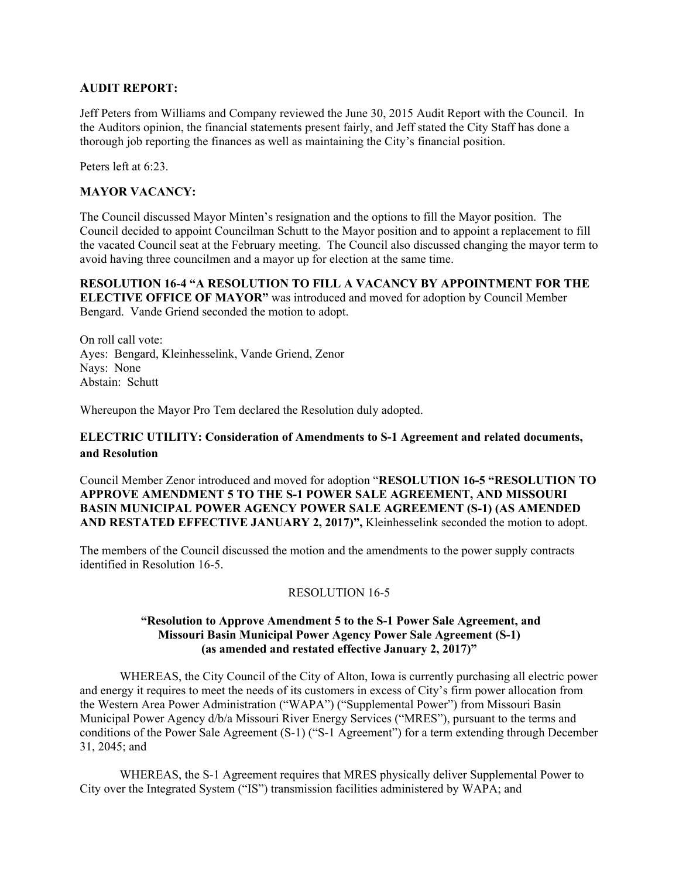# **AUDIT REPORT:**

Jeff Peters from Williams and Company reviewed the June 30, 2015 Audit Report with the Council. In the Auditors opinion, the financial statements present fairly, and Jeff stated the City Staff has done a thorough job reporting the finances as well as maintaining the City's financial position.

Peters left at 6:23.

# **MAYOR VACANCY:**

The Council discussed Mayor Minten's resignation and the options to fill the Mayor position. The Council decided to appoint Councilman Schutt to the Mayor position and to appoint a replacement to fill the vacated Council seat at the February meeting. The Council also discussed changing the mayor term to avoid having three councilmen and a mayor up for election at the same time.

**RESOLUTION 16-4 "A RESOLUTION TO FILL A VACANCY BY APPOINTMENT FOR THE ELECTIVE OFFICE OF MAYOR"** was introduced and moved for adoption by Council Member Bengard. Vande Griend seconded the motion to adopt.

On roll call vote: Ayes: Bengard, Kleinhesselink, Vande Griend, Zenor Nays: None Abstain: Schutt

Whereupon the Mayor Pro Tem declared the Resolution duly adopted.

# **ELECTRIC UTILITY: Consideration of Amendments to S-1 Agreement and related documents, and Resolution**

Council Member Zenor introduced and moved for adoption "**RESOLUTION 16-5 "RESOLUTION TO APPROVE AMENDMENT 5 TO THE S-1 POWER SALE AGREEMENT, AND MISSOURI BASIN MUNICIPAL POWER AGENCY POWER SALE AGREEMENT (S-1) (AS AMENDED AND RESTATED EFFECTIVE JANUARY 2, 2017)",** Kleinhesselink seconded the motion to adopt.

The members of the Council discussed the motion and the amendments to the power supply contracts identified in Resolution 16-5.

# RESOLUTION 16-5

#### **"Resolution to Approve Amendment 5 to the S-1 Power Sale Agreement, and Missouri Basin Municipal Power Agency Power Sale Agreement (S-1) (as amended and restated effective January 2, 2017)"**

WHEREAS, the City Council of the City of Alton, Iowa is currently purchasing all electric power and energy it requires to meet the needs of its customers in excess of City's firm power allocation from the Western Area Power Administration ("WAPA") ("Supplemental Power") from Missouri Basin Municipal Power Agency d/b/a Missouri River Energy Services ("MRES"), pursuant to the terms and conditions of the Power Sale Agreement (S-1) ("S-1 Agreement") for a term extending through December 31, 2045; and

WHEREAS, the S-1 Agreement requires that MRES physically deliver Supplemental Power to City over the Integrated System ("IS") transmission facilities administered by WAPA; and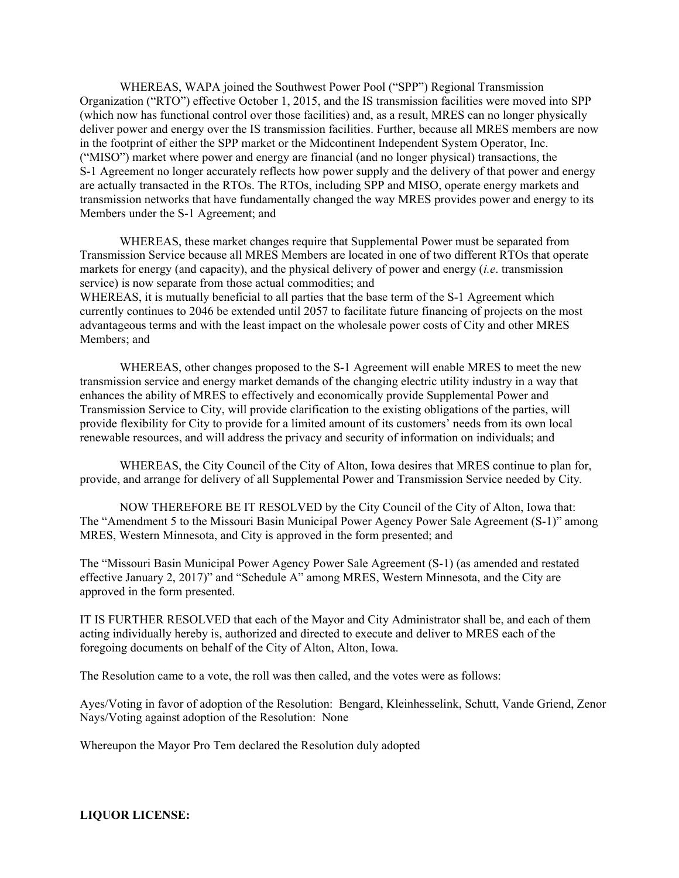WHEREAS, WAPA joined the Southwest Power Pool ("SPP") Regional Transmission Organization ("RTO") effective October 1, 2015, and the IS transmission facilities were moved into SPP (which now has functional control over those facilities) and, as a result, MRES can no longer physically deliver power and energy over the IS transmission facilities. Further, because all MRES members are now in the footprint of either the SPP market or the Midcontinent Independent System Operator, Inc. ("MISO") market where power and energy are financial (and no longer physical) transactions, the S-1 Agreement no longer accurately reflects how power supply and the delivery of that power and energy are actually transacted in the RTOs. The RTOs, including SPP and MISO, operate energy markets and transmission networks that have fundamentally changed the way MRES provides power and energy to its Members under the S-1 Agreement; and

WHEREAS, these market changes require that Supplemental Power must be separated from Transmission Service because all MRES Members are located in one of two different RTOs that operate markets for energy (and capacity), and the physical delivery of power and energy (*i.e*. transmission service) is now separate from those actual commodities; and WHEREAS, it is mutually beneficial to all parties that the base term of the S-1 Agreement which currently continues to 2046 be extended until 2057 to facilitate future financing of projects on the most advantageous terms and with the least impact on the wholesale power costs of City and other MRES Members; and

WHEREAS, other changes proposed to the S-1 Agreement will enable MRES to meet the new transmission service and energy market demands of the changing electric utility industry in a way that enhances the ability of MRES to effectively and economically provide Supplemental Power and Transmission Service to City, will provide clarification to the existing obligations of the parties, will provide flexibility for City to provide for a limited amount of its customers' needs from its own local renewable resources, and will address the privacy and security of information on individuals; and

WHEREAS, the City Council of the City of Alton, Iowa desires that MRES continue to plan for, provide, and arrange for delivery of all Supplemental Power and Transmission Service needed by City*.*

NOW THEREFORE BE IT RESOLVED by the City Council of the City of Alton, Iowa that: The "Amendment 5 to the Missouri Basin Municipal Power Agency Power Sale Agreement (S-1)" among MRES, Western Minnesota, and City is approved in the form presented; and

The "Missouri Basin Municipal Power Agency Power Sale Agreement (S-1) (as amended and restated effective January 2, 2017)" and "Schedule A" among MRES, Western Minnesota, and the City are approved in the form presented.

IT IS FURTHER RESOLVED that each of the Mayor and City Administrator shall be, and each of them acting individually hereby is, authorized and directed to execute and deliver to MRES each of the foregoing documents on behalf of the City of Alton, Alton, Iowa.

The Resolution came to a vote, the roll was then called, and the votes were as follows:

Ayes/Voting in favor of adoption of the Resolution: Bengard, Kleinhesselink, Schutt, Vande Griend, Zenor Nays/Voting against adoption of the Resolution: None

Whereupon the Mayor Pro Tem declared the Resolution duly adopted

**LIQUOR LICENSE:**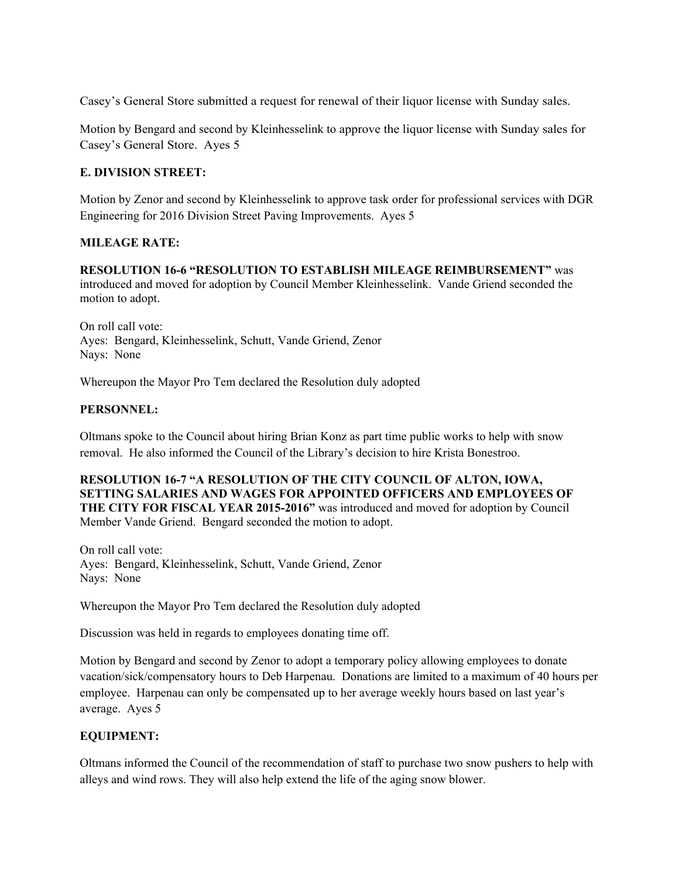Casey's General Store submitted a request for renewal of their liquor license with Sunday sales.

Motion by Bengard and second by Kleinhesselink to approve the liquor license with Sunday sales for Casey's General Store. Ayes 5

#### **E. DIVISION STREET:**

Motion by Zenor and second by Kleinhesselink to approve task order for professional services with DGR Engineering for 2016 Division Street Paving Improvements. Ayes 5

# **MILEAGE RATE:**

**RESOLUTION 16-6 "RESOLUTION TO ESTABLISH MILEAGE REIMBURSEMENT"** was introduced and moved for adoption by Council Member Kleinhesselink. Vande Griend seconded the motion to adopt.

On roll call vote: Ayes: Bengard, Kleinhesselink, Schutt, Vande Griend, Zenor Nays: None

Whereupon the Mayor Pro Tem declared the Resolution duly adopted

# **PERSONNEL:**

Oltmans spoke to the Council about hiring Brian Konz as part time public works to help with snow removal. He also informed the Council of the Library's decision to hire Krista Bonestroo.

**RESOLUTION 16-7 "A RESOLUTION OF THE CITY COUNCIL OF ALTON, IOWA, SETTING SALARIES AND WAGES FOR APPOINTED OFFICERS AND EMPLOYEES OF THE CITY FOR FISCAL YEAR 2015-2016"** was introduced and moved for adoption by Council Member Vande Griend. Bengard seconded the motion to adopt.

On roll call vote: Ayes: Bengard, Kleinhesselink, Schutt, Vande Griend, Zenor Nays: None

Whereupon the Mayor Pro Tem declared the Resolution duly adopted

Discussion was held in regards to employees donating time off.

Motion by Bengard and second by Zenor to adopt a temporary policy allowing employees to donate vacation/sick/compensatory hours to Deb Harpenau. Donations are limited to a maximum of 40 hours per employee. Harpenau can only be compensated up to her average weekly hours based on last year's average. Ayes 5

# **EQUIPMENT:**

Oltmans informed the Council of the recommendation of staff to purchase two snow pushers to help with alleys and wind rows. They will also help extend the life of the aging snow blower.